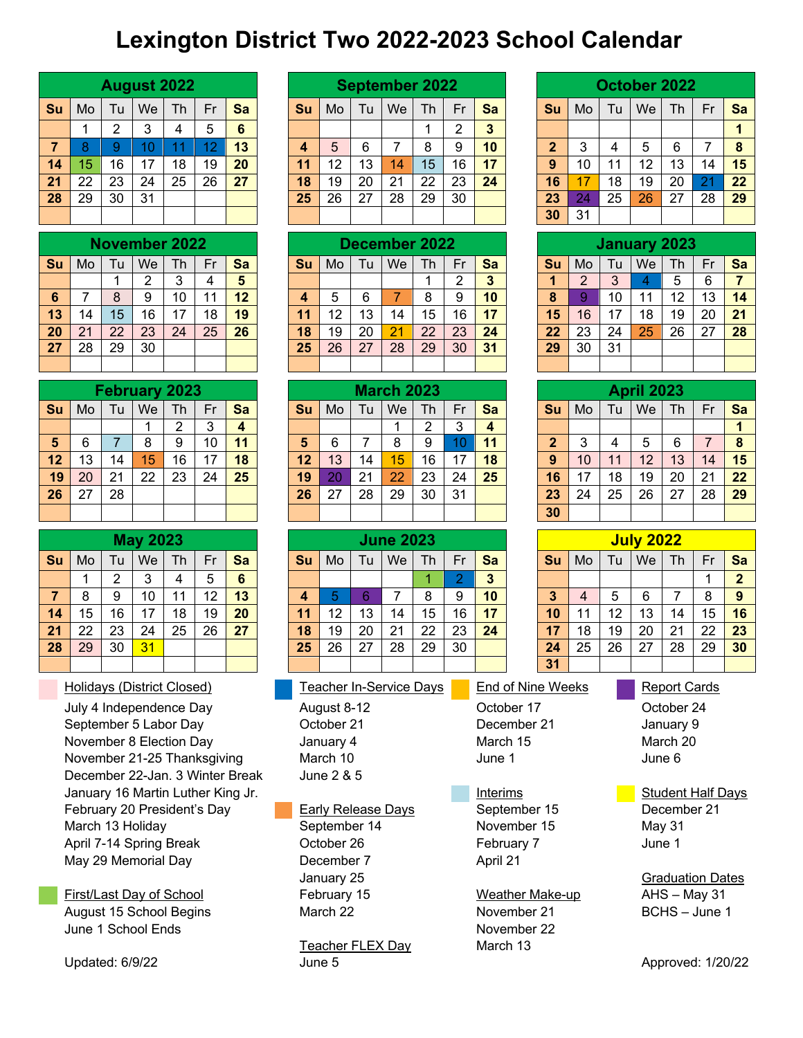## **Lexington District Two 2022-2023 School Calendar**

|                 |                                                                  |                | <b>August 2022</b>   |                |                |                 |  |            |                           |                | <b>September 2022</b>          |                |                |                 |                            |                |                |                | <b>October 2022</b> |                          |                |                         |
|-----------------|------------------------------------------------------------------|----------------|----------------------|----------------|----------------|-----------------|--|------------|---------------------------|----------------|--------------------------------|----------------|----------------|-----------------|----------------------------|----------------|----------------|----------------|---------------------|--------------------------|----------------|-------------------------|
| Su              | Mo                                                               | Tu             | We                   | <b>Th</b>      | Fr             | <b>Sa</b>       |  | Su         | Mo                        | Tu             | We                             | Th             | Fr             | Sa              |                            | Su             | Mo             | Tu             | We                  | Th                       | Fr             | Sa                      |
|                 | $\mathbf{1}$                                                     | $\overline{2}$ | 3                    | 4              | 5              | $6\phantom{a}$  |  |            |                           |                |                                | 1              | $\overline{2}$ | $\overline{3}$  |                            |                |                |                |                     |                          |                | 1                       |
| $\overline{7}$  | 8                                                                | 9              | 10                   | 11             | 12             | 13              |  | 4          | 5                         | 6              | $\overline{7}$                 | 8              | 9              | 10              |                            | $\overline{2}$ | 3              | 4              | 5                   | 6                        | 7              | $\boldsymbol{8}$        |
| 14              | 15                                                               | 16             | 17                   | 18             | 19             | 20              |  | 11         | 12                        | 13             | 14                             | 15             | 16             | 17              |                            | 9              | 10             | 11             | 12                  | 13                       | 14             | 15                      |
| 21              | 22                                                               | 23             | 24                   | 25             | 26             | 27              |  | 18         | 19                        | 20             | 21                             | 22             | 23             | 24              |                            | 16             | 17             | 18             | 19                  | 20                       | 21             | 22                      |
| 28              | 29                                                               | 30             | 31                   |                |                |                 |  | 25         | 26                        | 27             | 28                             | 29             | 30             |                 |                            | 23             | 24             | 25             | 26                  | 27                       | 28             | 29                      |
|                 |                                                                  |                |                      |                |                |                 |  |            |                           |                |                                |                |                |                 |                            | 30             | 31             |                |                     |                          |                |                         |
|                 |                                                                  |                | <b>November 2022</b> |                |                |                 |  |            |                           |                | <b>December 2022</b>           |                |                |                 |                            |                |                |                | <b>January 2023</b> |                          |                |                         |
| Su              | Mo                                                               | Tu             | We                   | Th             | Fr             | Sa              |  | Su         | Mo                        | Tu             | We                             | Th             | Fr             | Sa              |                            | Su             | Mo             | Tu             | We                  | Th                       | Fr             | Sa                      |
|                 |                                                                  | $\mathbf{1}$   | $\overline{2}$       | 3              | $\overline{4}$ | 5               |  |            |                           |                |                                | 1              | $\overline{2}$ | 3               |                            | 1              | $\overline{2}$ | 3              | $\overline{4}$      | 5                        | 6              | $\overline{7}$          |
| $6\phantom{1}6$ | 7                                                                | 8              | 9                    | 10             | 11             | 12              |  | 4          | 5                         | 6              | $\overline{7}$                 | 8              | 9              | 10              |                            | 8              | 9              | 10             | 11                  | 12                       | 13             | 14                      |
| 13              | 14                                                               | 15             | 16                   | 17             | 18             | 19              |  | 11         | 12                        | 13             | 14                             | 15             | 16             | 17              |                            | 15             | 16             | 17             | 18                  | 19                       | 20             | 21                      |
| 20              | 21                                                               | 22             | 23                   | 24             | 25             | 26              |  | 18         | 19                        | 20             | 21                             | 22             | 23             | 24              |                            | 22             | 23             | 24             | 25                  | 26                       | 27             | 28                      |
| 27              | 28                                                               | 29             | 30                   |                |                |                 |  | 25         | 26                        | 27             | 28                             | 29             | 30             | 31              |                            | 29             | 30             | 31             |                     |                          |                |                         |
|                 |                                                                  |                |                      |                |                |                 |  |            |                           |                |                                |                |                |                 |                            |                |                |                |                     |                          |                |                         |
|                 |                                                                  |                | <b>February 2023</b> |                |                |                 |  |            |                           |                | <b>March 2023</b>              |                |                |                 |                            |                |                |                | <b>April 2023</b>   |                          |                |                         |
| Su              | Mo                                                               | Tu             | We                   | Th             | Fr             | Sa              |  | Su         | Mo                        | Tu             | We                             | Th             | Fr             | Sa              |                            | <b>Su</b>      | Mo             | Tu             | We                  | Th                       | Fr             | Sa                      |
|                 |                                                                  |                | 1                    | $\overline{2}$ | $\overline{3}$ | $\overline{4}$  |  |            |                           |                | 1                              | $\overline{2}$ | 3              | $\overline{4}$  |                            |                |                |                |                     |                          |                | $\mathbf{1}$            |
| $5\phantom{1}$  | 6                                                                | $\overline{7}$ | 8                    | 9              | 10             | 11              |  | 5          | 6                         | $\overline{7}$ | 8                              | 9              | 10             | 11              |                            | $\overline{2}$ | 3              | $\overline{4}$ | 5                   | 6                        | $\overline{7}$ | 8                       |
| 12              | 13                                                               | 14             | 15                   | 16             | 17             | 18              |  | 12         | 13                        | 14             | 15                             | 16             | 17             | 18              |                            | 9              | 10             | 11             | 12                  | 13                       | 14             | 15                      |
| 19              | 20                                                               | 21             | 22                   | 23             | 24             | 25              |  | 19         | 20                        | 21             | 22                             | 23             | 24             | 25              |                            | 16             | 17             | 18             | 19                  | 20                       | 21             | 22                      |
| 26              | 27                                                               | 28             |                      |                |                |                 |  | 26         | 27                        | 28             | 29                             | 30             | 31             |                 |                            | 23             | 24             | 25             | 26                  | 27                       | 28             | 29                      |
|                 |                                                                  |                |                      |                |                |                 |  |            |                           |                |                                |                |                |                 |                            | 30             |                |                |                     |                          |                |                         |
|                 |                                                                  |                | <b>May 2023</b>      |                |                |                 |  |            |                           |                | <b>June 2023</b>               |                |                |                 |                            |                |                |                | <b>July 2022</b>    |                          |                |                         |
| Su              | Mo                                                               | Tu             | We                   | Th             | Fr             | Sa              |  | Su         | Mo                        | Tu             | We                             | Th             | Fr             | Sa              |                            | Su             | Mo             | Tu             | We                  | Th                       | Fr             | Sa                      |
|                 | $\mathbf{1}$                                                     | $\overline{2}$ | 3                    | 4              | 5              | $6\phantom{1}6$ |  |            |                           |                |                                | 1              | $\overline{2}$ | 3               |                            |                |                |                |                     |                          | 1              | $\overline{\mathbf{2}}$ |
| 7               | 8                                                                | 9              | 10                   | 11             | 12             | 13              |  | 4          | 5                         | 6              | 7                              | 8              | 9              | 10              |                            | 3              | $\overline{4}$ | 5              | 6                   | 7                        | 8              | $\boldsymbol{9}$        |
| 14              | 15                                                               | 16             | 17                   | 18             | 19             | 20              |  | 11         | 12                        | 13             | 14                             | 15             | 16             | 17              |                            | 10             | 11             | 12             | 13                  | 14                       | 15             | 16                      |
| 21              | 22                                                               | 23             | 24                   | 25             | 26             | 27              |  | 18         | 19                        | 20             | 21                             | 22             | 23             | 24              |                            | 17             | 18             | 19             | 20                  | 21                       | 22             | 23                      |
| 28              | 29                                                               | 30             | 31                   |                |                |                 |  | 25         | 26                        | 27             | 28                             | 29             | 30             |                 |                            | 24             | 25             | 26             | 27                  | 28                       | 29             | 30                      |
|                 |                                                                  |                |                      |                |                |                 |  |            |                           |                |                                |                |                |                 |                            | 31             |                |                |                     |                          |                |                         |
|                 | <b>Holidays (District Closed)</b>                                |                |                      |                |                |                 |  |            |                           |                | <b>Teacher In-Service Days</b> |                |                |                 | <b>End of Nine Weeks</b>   |                |                |                |                     | <b>Report Cards</b>      |                |                         |
|                 | July 4 Independence Day                                          |                |                      |                |                |                 |  |            | August 8-12               |                |                                |                |                |                 | October 17                 |                |                |                |                     | October 24               |                |                         |
|                 | September 5 Labor Day                                            |                |                      |                |                |                 |  |            | October 21                |                |                                |                |                |                 | December 21                |                |                |                |                     | January 9                |                |                         |
|                 | November 8 Election Day                                          |                |                      |                |                |                 |  |            | January 4                 |                |                                |                |                | March 15        |                            |                |                |                |                     | March 20                 |                |                         |
|                 | November 21-25 Thanksgiving                                      |                |                      |                |                |                 |  |            | March 10                  |                |                                |                |                | June 1          |                            |                |                |                | June 6              |                          |                |                         |
|                 | December 22-Jan. 3 Winter Break                                  |                |                      |                |                |                 |  | June 2 & 5 |                           |                |                                |                |                |                 |                            |                |                |                |                     |                          |                |                         |
|                 | January 16 Martin Luther King Jr.<br>February 20 President's Day |                |                      |                |                |                 |  |            |                           |                |                                |                |                | <b>Interims</b> |                            |                |                |                |                     | <b>Student Half Days</b> |                |                         |
|                 |                                                                  |                |                      |                |                |                 |  |            | <b>Early Release Days</b> |                |                                |                | September 15   |                 |                            |                |                | December 21    |                     |                          |                |                         |
|                 | March 13 Holiday<br>April 7-14 Spring Break                      |                |                      |                |                |                 |  |            | September 14              |                |                                |                |                |                 | November 15                |                |                |                |                     | May 31                   |                |                         |
|                 |                                                                  |                |                      |                |                |                 |  |            | October 26                |                |                                |                |                |                 | February 7                 |                |                |                | June 1              |                          |                |                         |
|                 | May 29 Memorial Day                                              |                |                      |                |                |                 |  |            | December 7                |                |                                |                |                | April 21        |                            |                |                |                |                     |                          |                |                         |
|                 |                                                                  |                |                      |                |                |                 |  |            | January 25                |                |                                |                |                |                 |                            |                |                |                |                     | <b>Graduation Dates</b>  |                |                         |
|                 | First/Last Day of School                                         |                |                      |                |                |                 |  |            | February 15               |                |                                |                |                |                 | Weather Make-up            |                |                |                |                     | $AHS - May 31$           |                |                         |
|                 | August 15 School Begins                                          |                |                      |                |                |                 |  |            | March 22                  |                |                                |                |                |                 | November 21<br>November 22 |                |                |                |                     | BCHS - June 1            |                |                         |
|                 | June 1 School Ends                                               |                |                      |                |                |                 |  |            |                           |                |                                |                |                |                 |                            |                |                |                |                     |                          |                |                         |

|         |     | <b>August 2022</b> |    |    |    |                |    |    | <b>September 2022</b> |    |    |    |    |    |    | October 2022 |    |                |                |
|---------|-----|--------------------|----|----|----|----------------|----|----|-----------------------|----|----|----|----|----|----|--------------|----|----------------|----------------|
| ۸о      | l u | We                 | Th | Fr | Sa | Sυ             | Mo | Tu | <b>We</b>             | Th | Fr | Sa | Sυ | Mo | Tu | We           | Th | Fr             | $S_i$          |
|         | ົ   |                    |    | 5  | 6  |                |    |    |                       |    | っ  | 3  |    |    |    |              |    |                |                |
| 8       | 9   | 10                 |    | 12 | 13 |                | 5  | 6  |                       | 8  | 9  | 10 |    | 2  | 4  | 5            | 6  |                | -8             |
| 5       | 16  | 17                 | 18 | 19 | 20 | $\overline{A}$ | 12 | 13 | 14                    | 15 | 16 | 17 | 9  | 10 | 11 | 12           | 13 | 14             | 1!             |
| $^{22}$ | 23  | 24                 | 25 | 26 | 27 | 18             | 19 | 20 | 21                    | 22 | 23 | 24 | 16 |    | 18 | 19           | 20 | 2 <sup>1</sup> | 2 <sup>2</sup> |
| 29      | 30  | 31                 |    |    |    | 25             | 26 | 27 | 28                    | 29 | 30 |    | 23 | 24 | 25 | 26           | 27 | 28             | 2 <sub>3</sub> |
|         |     |                    |    |    |    |                |    |    |                       |    |    |    | 30 | 31 |    |              |    |                |                |
|         |     |                    |    |    |    |                |    |    |                       |    |    |    |    |    |    |              |    |                |                |

|    |     |    | November 2022 |    |    |                         |    |    |    | December 2022 |    |    |    |    |    |     | January 2023 |     |    |    |
|----|-----|----|---------------|----|----|-------------------------|----|----|----|---------------|----|----|----|----|----|-----|--------------|-----|----|----|
| šu | Mo. | Tu | We            | Th | Fr | Sa                      | Sυ | Mo | Tu | We            | Th | Fr | Sa | Su | Mo | Tu  | We           | Th. | Fr | Sa |
|    |     |    |               | د  |    | $\overline{\mathbf{5}}$ |    |    |    |               |    |    |    |    |    | 3   |              | 5   | 6  |    |
| 6  |     | o  | 9             | 10 | 11 | 12                      |    | 5  | 6  |               | 8  | 9  | 10 | 8  |    | 10  | 11           | 12  | 13 | 14 |
| 3  | 14  | 15 | 16            |    | 18 | 19                      |    | 12 | 13 | 14            | 15 | 16 | 17 | 15 | 16 | -17 | 18           | 19  | 20 | 21 |
| 20 | 21  | 22 | 23            | 24 | 25 | 26                      | 18 | 19 | 20 | 21            | 22 | 23 | 24 | 22 | 23 | 24  | 25           | 26  | 27 | 28 |
|    | 28  | 29 | 30            |    |    |                         | 25 | 26 | 27 | 28            | 29 | 30 | 31 | 29 | 30 | 31  |              |     |    |    |
|    |     |    |               |    |    |                         |    |    |    |               |    |    |    |    |    |     |              |     |    |    |

|    |    | <b>February 2023</b> |    |    |    |    |      | <b>March 2023</b> |    |        |                  |    |    |    | <b>April 2023</b> |     |    |                |
|----|----|----------------------|----|----|----|----|------|-------------------|----|--------|------------------|----|----|----|-------------------|-----|----|----------------|
| Tu | We | Th                   | Fr | Sa | Su | Mo | Tu . | We                | Th | Fr     | Sa               | Su | Mo | Tu | We                | Th. | Fr | S:             |
|    |    |                      | ◠  | 4  |    |    |      |                   | ⌒  | ົ<br>د | $\boldsymbol{A}$ |    |    |    |                   |     |    |                |
|    | 8  | 9                    | 10 | 11 | 5  | 6  |      | 8                 | 9  | 10     | 11               |    | 3  | 4  | 5                 | 6   |    | -8             |
| 14 | 15 | 16                   | 17 | 18 | 12 | 13 | 14   | 15                | 16 | 17     | 18               | 9  | 10 | 11 | 12                | 13  | 14 | $\ddagger$     |
| 21 | 22 | 23                   | 24 | 25 | 19 |    | 21   | 22                | 23 | 24     | 25               | 16 | 17 | 18 | 19                | 20  | 21 | 2 <sup>2</sup> |
| 28 |    |                      |    |    | 26 | 27 | 28   | 29                | 30 | 31     |                  | 23 | 24 | 25 | 26                | 27  | 28 | 2 <sub>5</sub> |
|    |    |                      |    |    |    |    |      |                   |    |        |                  | 30 |    |    |                   |     |    |                |

|    |     | <b>May 2023</b> |    |    |    |    |    |    | <b>June 2023</b> |    |    |    |    |    |    | <b>July 2022</b> |    |    |                |
|----|-----|-----------------|----|----|----|----|----|----|------------------|----|----|----|----|----|----|------------------|----|----|----------------|
| Лo | l u | We              | Th | Fr | Sa | Su | Mo | Tu | We               | Th | Fr | Sa | Su | Mo | Tu | We               | Th | Fr | $S_i$          |
|    |     |                 | 4  | 5  | 6  |    |    |    |                  |    |    | 3  |    |    |    |                  |    |    | 2              |
| 8  | 9   | 10              | 11 | 12 | 13 |    | 5  | 6  |                  | 8  | 9  | 10 |    | 4  | 5  | 6                |    | 8  | -9             |
| 5  | 16  | 17              | 18 | 19 | 20 |    | 12 | 13 | 14               | 15 | 16 | 17 | 10 |    | 12 | 13               | 14 | 15 | 1 <sub>1</sub> |
| 22 | 23  | 24              | 25 | 26 | 27 | 18 | 19 | 20 | 21               | 22 | 23 | 24 | 17 | 18 | 19 | 20               | 21 | 22 | 23             |
| 29 | 30  | 31              |    |    |    | 25 | 26 | 27 | 28               | 29 | 30 |    | 24 | 25 | 26 | 27               | 28 | 29 | 3 <sub>0</sub> |
|    |     |                 |    |    |    |    |    |    |                  |    |    |    | 31 |    |    |                  |    |    |                |

Teacher FLEX Day March 13 Updated: 6/9/22 June 5 **June 5** Approved: 1/20/22

|                |    |    | October 2022 |    |    |    |
|----------------|----|----|--------------|----|----|----|
| Su             | Mo | Tu | We           | Th | Fr | Sa |
|                |    |    |              |    |    | 1  |
| $\overline{2}$ | 3  | 4  | 5            | 6  | 7  | 8  |
| 9              | 10 | 11 | 12           | 13 | 14 | 15 |
| 16             | 17 | 18 | 19           | 20 | 21 | 22 |
| 23             | 24 | 25 | 26           | 27 | 28 | 29 |
| 30             | 31 |    |              |    |    |    |
|                |    |    |              |    |    |    |

|    |    |    | <b>January 2023</b> |    |    |    |
|----|----|----|---------------------|----|----|----|
| Su | Mo | Tu | We                  | Th | Fr | Sa |
|    | 2  | 3  |                     | 5  | 6  |    |
| 8  | 9  | 10 | 11                  | 12 | 13 | 14 |
| 15 | 16 | 17 | 18                  | 19 | 20 | 21 |
| 22 | 23 | 24 | 25                  | 26 | 27 | 28 |
| 29 | 30 | 31 |                     |    |    |    |
|    |    |    |                     |    |    |    |

|              |    |    | <b>April 2023</b> |    |    |    |
|--------------|----|----|-------------------|----|----|----|
| Su           | Mo | Tu | We                | Th | Fr | Sa |
|              |    |    |                   |    |    |    |
| $\mathbf{2}$ | 3  | 4  | 5                 | 6  | 7  | 8  |
| 9            | 10 | 11 | 12                | 13 | 14 | 15 |
| 16           | 17 | 18 | 19                | 20 | 21 | 22 |
| 23           | 24 | 25 | 26                | 27 | 28 | 29 |
| 30           |    |    |                   |    |    |    |

|                 |    |    | <b>July 2022</b> |    |    |                |
|-----------------|----|----|------------------|----|----|----------------|
| Su              | Mo | Tu | We               | Th | Fr | Sa             |
|                 |    |    |                  |    | 1  | $\overline{2}$ |
| $\mathbf{3}$    | 4  | 5  | 6                | 7  | 8  | 9              |
| 10              | 11 | 12 | 13               | 14 | 15 | 16             |
| 17              | 18 | 19 | 20               | 21 | 22 | 23             |
| 24              | 25 | 26 | 27               | 28 | 29 | 30             |
| $\overline{31}$ |    |    |                  |    |    |                |

February 15 **Weather Make-up** AHS – May 31 March 22 November 21 BCHS – June 1 November 22